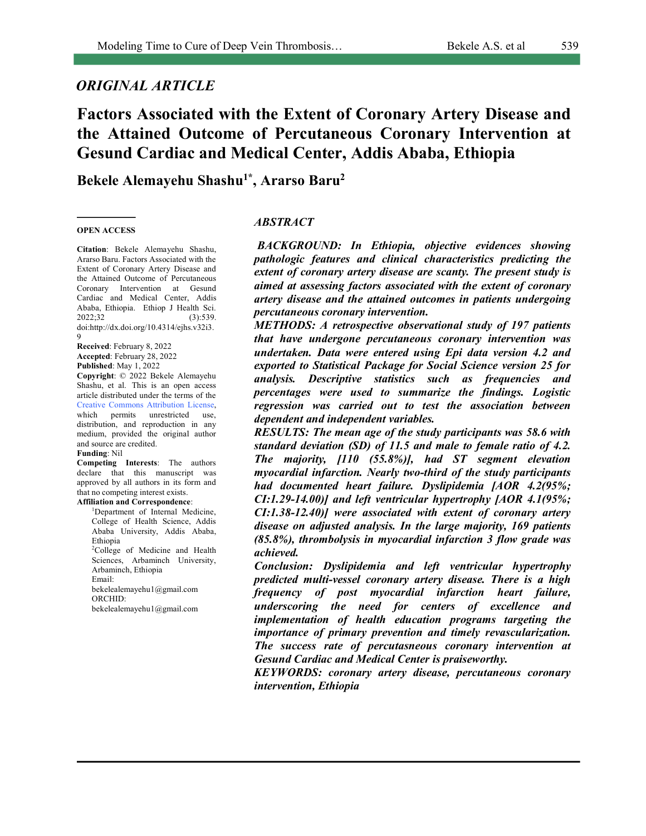# *ORIGINAL ARTICLE*

# **Factors Associated with the Extent of Coronary Artery Disease and the Attained Outcome of Percutaneous Coronary Intervention at Gesund Cardiac and Medical Center, Addis Ababa, Ethiopia**

**Bekele Alemayehu Shashu1\* , Ararso Baru2**

#### **OPEN ACCESS**

**Citation**: Bekele Alemayehu Shashu, Ararso Baru. Factors Associated with the Extent of Coronary Artery Disease and the Attained Outcome of Percutaneous Coronary Intervention at Gesund Cardiac and Medical Center, Addis Ababa, Ethiopia. Ethiop J Health Sci. 2022;32 (3):539. doi:http://dx.doi.org/10.4314/ejhs.v32i3. 9

**Received**: February 8, 2022 **Accepted**: February 28, 2022 **Published**: May 1, 2022

**Copyright**: © 2022 Bekele Alemayehu Shashu, et al. This is an open access article distributed under the terms of the Creative Commons Attribution License, which permits unrestricted use, distribution, and reproduction in any medium, provided the original author and source are credited.

**Funding**: Nil

**Competing Interests**: The authors declare that this manuscript was approved by all authors in its form and that no competing interest exists.

**Affiliation and Correspondence**:

<sup>1</sup>Department of Internal Medicine, College of Health Science, Addis Ababa University, Addis Ababa, Ethiopia <sup>2</sup>College of Medicine and Health Sciences, Arbaminch University, Arbaminch, Ethiopia Email: bekelealemayehu1@gmail.com ORCHID: bekelealemayehu1@gmail.com

#### *ABSTRACT*

*BACKGROUND: In Ethiopia, objective evidences showing pathologic features and clinical characteristics predicting the extent of coronary artery disease are scanty. The present study is aimed at assessing factors associated with the extent of coronary artery disease and the attained outcomes in patients undergoing percutaneous coronary intervention.* 

*METHODS: A retrospective observational study of 197 patients that have undergone percutaneous coronary intervention was undertaken. Data were entered using Epi data version 4.2 and exported to Statistical Package for Social Science version 25 for analysis. Descriptive statistics such as frequencies and percentages were used to summarize the findings. Logistic regression was carried out to test the association between dependent and independent variables.* 

*RESULTS: The mean age of the study participants was 58.6 with standard deviation (SD) of 11.5 and male to female ratio of 4.2. The majority, [110 (55.8%)], had ST segment elevation myocardial infarction. Nearly two-third of the study participants had documented heart failure. Dyslipidemia [AOR 4.2(95%; CI:1.29-14.00)] and left ventricular hypertrophy [AOR 4.1(95%; CI:1.38-12.40)] were associated with extent of coronary artery disease on adjusted analysis. In the large majority, 169 patients (85.8%), thrombolysis in myocardial infarction 3 flow grade was achieved.*

*Conclusion: Dyslipidemia and left ventricular hypertrophy predicted multi-vessel coronary artery disease. There is a high frequency of post myocardial infarction heart failure, underscoring the need for centers of excellence and implementation of health education programs targeting the importance of primary prevention and timely revascularization. The success rate of percutasneous coronary intervention at Gesund Cardiac and Medical Center is praiseworthy.*

*KEYWORDS: coronary artery disease, percutaneous coronary intervention, Ethiopia*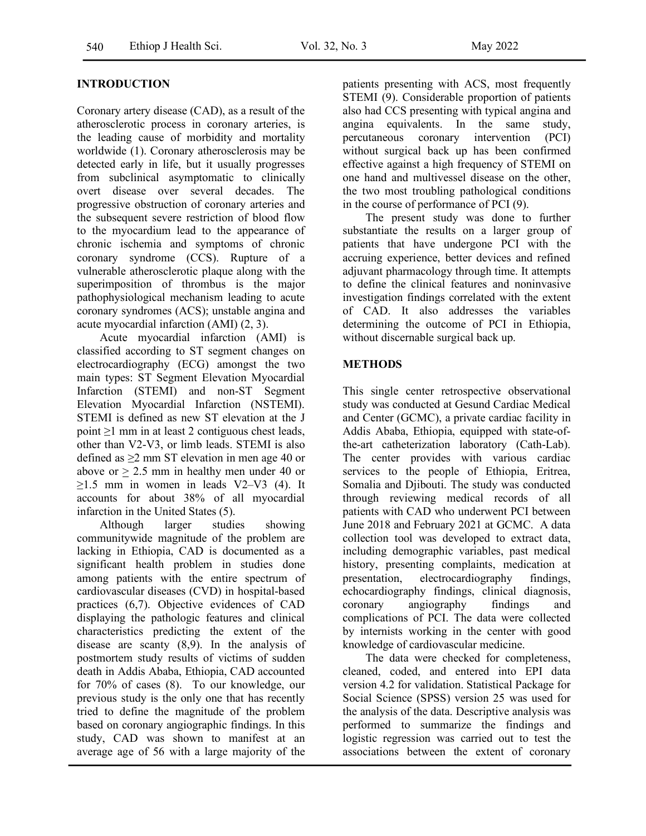### **INTRODUCTION**

Coronary artery disease (CAD), as a result of the atherosclerotic process in coronary arteries, is the leading cause of morbidity and mortality worldwide (1). Coronary atherosclerosis may be detected early in life, but it usually progresses from subclinical asymptomatic to clinically overt disease over several decades. The progressive obstruction of coronary arteries and the subsequent severe restriction of blood flow to the myocardium lead to the appearance of chronic ischemia and symptoms of chronic coronary syndrome (CCS). Rupture of a vulnerable atherosclerotic plaque along with the superimposition of thrombus is the major pathophysiological mechanism leading to acute coronary syndromes (ACS); unstable angina and acute myocardial infarction (AMI) (2, 3).

Acute myocardial infarction (AMI) is classified according to ST segment changes on electrocardiography (ECG) amongst the two main types: ST Segment Elevation Myocardial Infarction (STEMI) and non-ST Segment Elevation Myocardial Infarction (NSTEMI). STEMI is defined as new ST elevation at the J point ≥1 mm in at least 2 contiguous chest leads, other than V2-V3, or limb leads. STEMI is also defined as ≥2 mm ST elevation in men age 40 or above or  $> 2.5$  mm in healthy men under 40 or  $>1.5$  mm in women in leads V2–V3 (4). It accounts for about 38% of all myocardial infarction in the United States (5).

Although larger studies showing communitywide magnitude of the problem are lacking in Ethiopia, CAD is documented as a significant health problem in studies done among patients with the entire spectrum of cardiovascular diseases (CVD) in hospital-based practices (6,7). Objective evidences of CAD displaying the pathologic features and clinical characteristics predicting the extent of the disease are scanty (8,9). In the analysis of postmortem study results of victims of sudden death in Addis Ababa, Ethiopia, CAD accounted for 70% of cases (8). To our knowledge, our previous study is the only one that has recently tried to define the magnitude of the problem based on coronary angiographic findings. In this study, CAD was shown to manifest at an average age of 56 with a large majority of the

patients presenting with ACS, most frequently STEMI (9). Considerable proportion of patients also had CCS presenting with typical angina and angina equivalents. In the same study, percutaneous coronary intervention (PCI) without surgical back up has been confirmed effective against a high frequency of STEMI on one hand and multivessel disease on the other, the two most troubling pathological conditions in the course of performance of PCI (9).

The present study was done to further substantiate the results on a larger group of patients that have undergone PCI with the accruing experience, better devices and refined adjuvant pharmacology through time. It attempts to define the clinical features and noninvasive investigation findings correlated with the extent of CAD. It also addresses the variables determining the outcome of PCI in Ethiopia, without discernable surgical back up.

#### **METHODS**

This single center retrospective observational study was conducted at Gesund Cardiac Medical and Center (GCMC), a private cardiac facility in Addis Ababa, Ethiopia, equipped with state-ofthe-art catheterization laboratory (Cath-Lab). The center provides with various cardiac services to the people of Ethiopia, Eritrea, Somalia and Diibouti. The study was conducted through reviewing medical records of all patients with CAD who underwent PCI between June 2018 and February 2021 at GCMC. A data collection tool was developed to extract data, including demographic variables, past medical history, presenting complaints, medication at presentation, electrocardiography findings, echocardiography findings, clinical diagnosis, coronary angiography findings and complications of PCI. The data were collected by internists working in the center with good knowledge of cardiovascular medicine.

The data were checked for completeness, cleaned, coded, and entered into EPI data version 4.2 for validation. Statistical Package for Social Science (SPSS) version 25 was used for the analysis of the data. Descriptive analysis was performed to summarize the findings and logistic regression was carried out to test the associations between the extent of coronary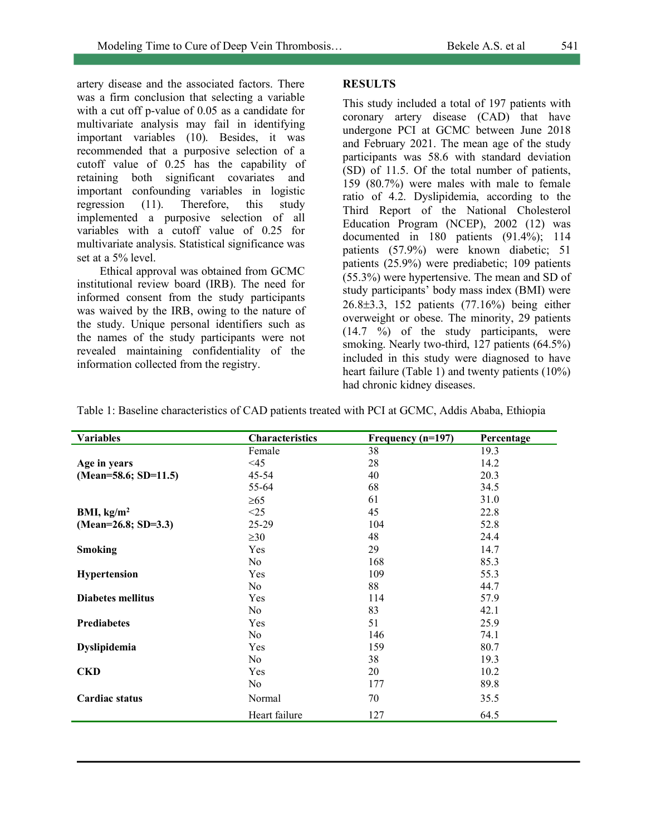artery disease and the associated factors. There was a firm conclusion that selecting a variable with a cut off p-value of 0.05 as a candidate for multivariate analysis may fail in identifying important variables (10). Besides, it was recommended that a purposive selection of a cutoff value of 0.25 has the capability of retaining both significant covariates and important confounding variables in logistic regression (11). Therefore, this study implemented a purposive selection of all variables with a cutoff value of 0.25 for multivariate analysis. Statistical significance was set at a 5% level.

Ethical approval was obtained from GCMC institutional review board (IRB). The need for informed consent from the study participants was waived by the IRB, owing to the nature of the study. Unique personal identifiers such as the names of the study participants were not revealed maintaining confidentiality of the information collected from the registry.

## **RESULTS**

This study included a total of 197 patients with coronary artery disease (CAD) that have undergone PCI at GCMC between June 2018 and February 2021. The mean age of the study participants was 58.6 with standard deviation (SD) of 11.5. Of the total number of patients, 159 (80.7%) were males with male to female ratio of 4.2. Dyslipidemia, according to the Third Report of the National Cholesterol Education Program (NCEP), 2002 (12) was documented in 180 patients (91.4%); 114 patients (57.9%) were known diabetic; 51 patients (25.9%) were prediabetic; 109 patients (55.3%) were hypertensive. The mean and SD of study participants' body mass index (BMI) were 26.8±3.3, 152 patients (77.16%) being either overweight or obese. The minority, 29 patients  $(14.7 \degree\%)$  of the study participants, were smoking. Nearly two-third, 127 patients (64.5%) included in this study were diagnosed to have heart failure (Table 1) and twenty patients (10%) had chronic kidney diseases.

| <b>Variables</b>         | <b>Characteristics</b> | Frequency (n=197) | Percentage |
|--------------------------|------------------------|-------------------|------------|
|                          | Female                 | 38                | 19.3       |
| Age in years             | <45                    | 28                | 14.2       |
| $(Mean=58.6; SD=11.5)$   | $45 - 54$              | 40                | 20.3       |
|                          | 55-64                  | 68                | 34.5       |
|                          | $\geq 65$              | 61                | 31.0       |
| BMI, $\text{kg/m}^2$     | <25                    | 45                | 22.8       |
| $(Mean=26.8; SD=3.3)$    | 25-29                  | 104               | 52.8       |
|                          | $\geq 30$              | 48                | 24.4       |
| <b>Smoking</b>           | Yes                    | 29                | 14.7       |
|                          | No                     | 168               | 85.3       |
| Hypertension             | Yes                    | 109               | 55.3       |
|                          | No                     | 88                | 44.7       |
| <b>Diabetes mellitus</b> | Yes                    | 114               | 57.9       |
|                          | No                     | 83                | 42.1       |
| <b>Prediabetes</b>       | Yes                    | 51                | 25.9       |
|                          | No                     | 146               | 74.1       |
| Dyslipidemia             | Yes                    | 159               | 80.7       |
|                          | N <sub>0</sub>         | 38                | 19.3       |
| <b>CKD</b>               | Yes                    | 20                | 10.2       |
|                          | No                     | 177               | 89.8       |
| <b>Cardiac status</b>    | Normal                 | 70                | 35.5       |
|                          | Heart failure          | 127               | 64.5       |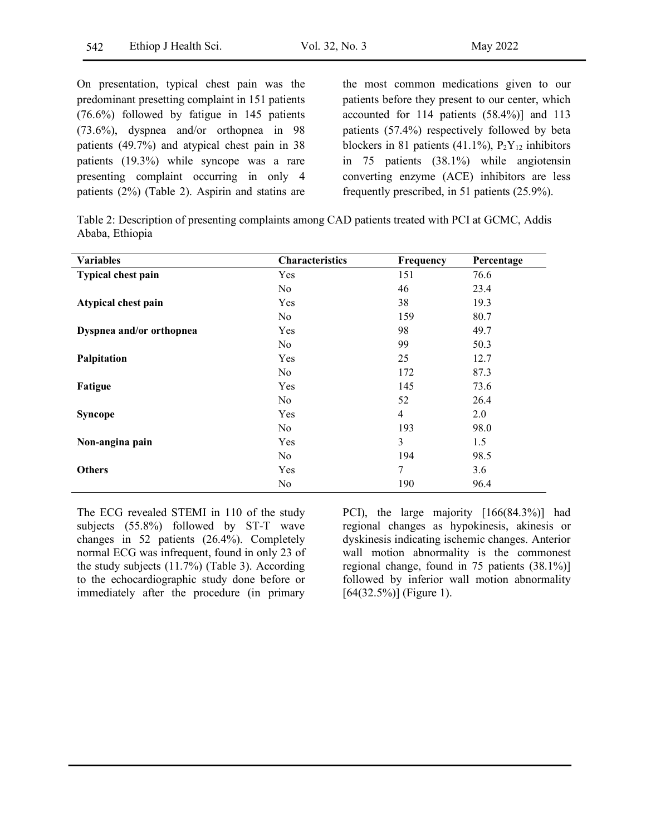On presentation, typical chest pain was the predominant presetting complaint in 151 patients (76.6%) followed by fatigue in 145 patients (73.6%), dyspnea and/or orthopnea in 98 patients (49.7%) and atypical chest pain in 38 patients (19.3%) while syncope was a rare presenting complaint occurring in only 4 patients (2%) (Table 2). Aspirin and statins are the most common medications given to our patients before they present to our center, which accounted for 114 patients (58.4%)] and 113 patients (57.4%) respectively followed by beta blockers in 81 patients (41.1%),  $P_2Y_{12}$  inhibitors in 75 patients (38.1%) while angiotensin converting enzyme (ACE) inhibitors are less frequently prescribed, in 51 patients (25.9%).

Table 2: Description of presenting complaints among CAD patients treated with PCI at GCMC, Addis Ababa, Ethiopia

| <b>Variables</b>          | <b>Characteristics</b> | Frequency      | Percentage |
|---------------------------|------------------------|----------------|------------|
| <b>Typical chest pain</b> | Yes                    | 151            | 76.6       |
|                           | No                     | 46             | 23.4       |
| Atypical chest pain       | Yes                    | 38             | 19.3       |
|                           | No                     | 159            | 80.7       |
| Dyspnea and/or orthopnea  | Yes                    | 98             | 49.7       |
|                           | No.                    | 99             | 50.3       |
| Palpitation               | Yes                    | 25             | 12.7       |
|                           | No                     | 172            | 87.3       |
| Fatigue                   | Yes                    | 145            | 73.6       |
|                           | No                     | 52             | 26.4       |
| <b>Syncope</b>            | Yes                    | $\overline{4}$ | 2.0        |
|                           | N <sub>0</sub>         | 193            | 98.0       |
| Non-angina pain           | Yes                    | 3              | 1.5        |
|                           | No                     | 194            | 98.5       |
| <b>Others</b>             | Yes                    | 7              | 3.6        |
|                           | No                     | 190            | 96.4       |

The ECG revealed STEMI in 110 of the study subjects (55.8%) followed by ST-T wave changes in 52 patients (26.4%). Completely normal ECG was infrequent, found in only 23 of the study subjects  $(11.7%)$  (Table 3). According to the echocardiographic study done before or immediately after the procedure (in primary

PCI), the large majority [166(84.3%)] had regional changes as hypokinesis, akinesis or dyskinesis indicating ischemic changes. Anterior wall motion abnormality is the commonest regional change, found in 75 patients (38.1%)] followed by inferior wall motion abnormality  $[64(32.5\%)]$  (Figure 1).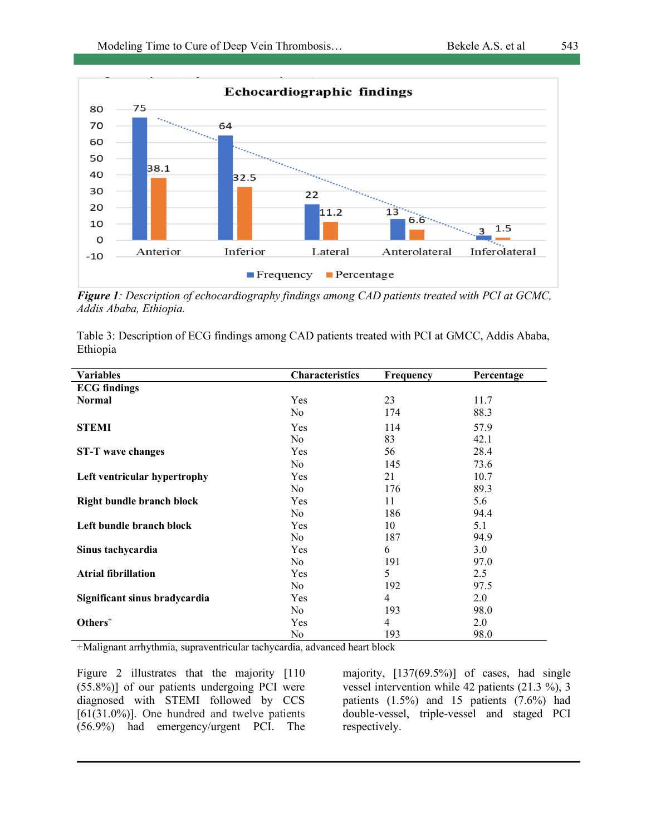



*Figure 1: Description of echocardiography findings among CAD patients treated with PCI at GCMC, Addis Ababa, Ethiopia.*

Table 3: Description of ECG findings among CAD patients treated with PCI at GMCC, Addis Ababa, Ethiopia

| <b>Variables</b>                 | <b>Characteristics</b> | <b>Frequency</b> | Percentage |
|----------------------------------|------------------------|------------------|------------|
| <b>ECG</b> findings              |                        |                  |            |
| <b>Normal</b>                    | Yes                    | 23               | 11.7       |
|                                  | No                     | 174              | 88.3       |
| <b>STEMI</b>                     | Yes                    | 114              | 57.9       |
|                                  | No                     | 83               | 42.1       |
| <b>ST-T</b> wave changes         | Yes                    | 56               | 28.4       |
|                                  | No                     | 145              | 73.6       |
| Left ventricular hypertrophy     | Yes                    | 21               | 10.7       |
|                                  | No                     | 176              | 89.3       |
| <b>Right bundle branch block</b> | Yes                    | 11               | 5.6        |
|                                  | No.                    | 186              | 94.4       |
| Left bundle branch block         | Yes                    | 10               | 5.1        |
|                                  | No                     | 187              | 94.9       |
| Sinus tachycardia                | Yes                    | 6                | 3.0        |
|                                  | No                     | 191              | 97.0       |
| <b>Atrial fibrillation</b>       | Yes                    | 5                | 2.5        |
|                                  | No                     | 192              | 97.5       |
| Significant sinus bradycardia    | Yes                    | 4                | 2.0        |
|                                  | No                     | 193              | 98.0       |
| Others <sup>+</sup>              | Yes                    | 4                | 2.0        |
|                                  | No                     | 193              | 98.0       |

+Malignant arrhythmia, supraventricular tachycardia, advanced heart block

Figure 2 illustrates that the majority [110] (55.8%)] of our patients undergoing PCI were diagnosed with STEMI followed by CCS  $[61(31.0\%)]$ . One hundred and twelve patients (56.9%) had emergency/urgent PCI. The majority, [137(69.5%)] of cases, had single vessel intervention while 42 patients (21.3 %), 3 patients  $(1.5\%)$  and 15 patients  $(7.6\%)$  had double-vessel, triple-vessel and staged PCI respectively.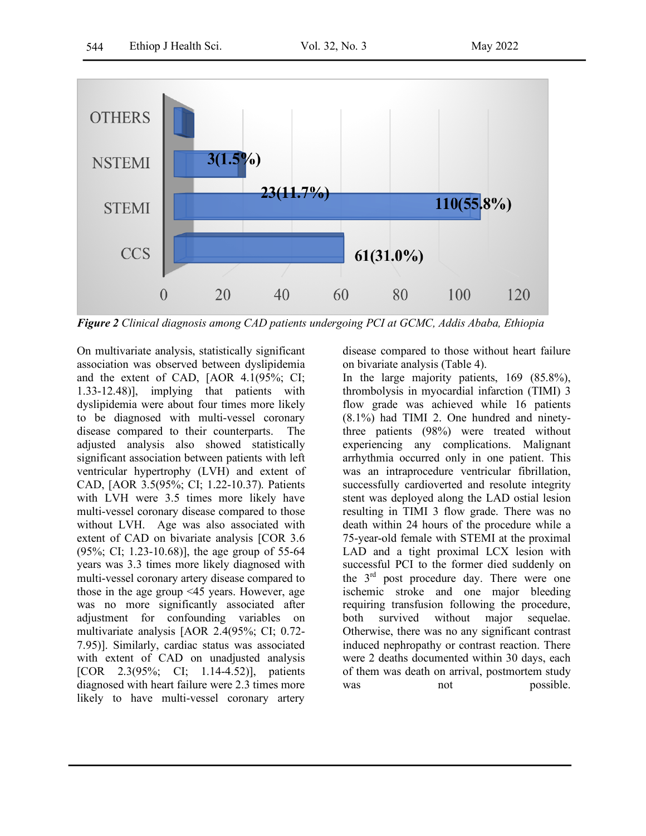

*Figure 2 Clinical diagnosis among CAD patients undergoing PCI at GCMC, Addis Ababa, Ethiopia*

On multivariate analysis, statistically significant association was observed between dyslipidemia and the extent of CAD, [AOR 4.1(95%; CI; 1.33-12.48)], implying that patients with dyslipidemia were about four times more likely to be diagnosed with multi-vessel coronary disease compared to their counterparts. The adjusted analysis also showed statistically significant association between patients with left ventricular hypertrophy (LVH) and extent of CAD, [AOR 3.5(95%; CI; 1.22-10.37). Patients with LVH were 3.5 times more likely have multi-vessel coronary disease compared to those without LVH. Age was also associated with extent of CAD on bivariate analysis [COR 3.6 (95%; CI; 1.23-10.68)], the age group of 55-64 years was 3.3 times more likely diagnosed with multi-vessel coronary artery disease compared to those in the age group <45 years. However, age was no more significantly associated after adjustment for confounding variables on multivariate analysis [AOR 2.4(95%; CI; 0.72- 7.95)]. Similarly, cardiac status was associated with extent of CAD on unadjusted analysis [COR 2.3(95%; CI; 1.14-4.52)], patients diagnosed with heart failure were 2.3 times more likely to have multi-vessel coronary artery

disease compared to those without heart failure on bivariate analysis (Table 4).

In the large majority patients, 169 (85.8%), thrombolysis in myocardial infarction (TIMI) 3 flow grade was achieved while 16 patients (8.1%) had TIMI 2. One hundred and ninetythree patients (98%) were treated without experiencing any complications. Malignant arrhythmia occurred only in one patient. This was an intraprocedure ventricular fibrillation, successfully cardioverted and resolute integrity stent was deployed along the LAD ostial lesion resulting in TIMI 3 flow grade. There was no death within 24 hours of the procedure while a 75-year-old female with STEMI at the proximal LAD and a tight proximal LCX lesion with successful PCI to the former died suddenly on the 3rd post procedure day. There were one ischemic stroke and one major bleeding requiring transfusion following the procedure, both survived without major sequelae. Otherwise, there was no any significant contrast induced nephropathy or contrast reaction. There were 2 deaths documented within 30 days, each of them was death on arrival, postmortem study was not possible.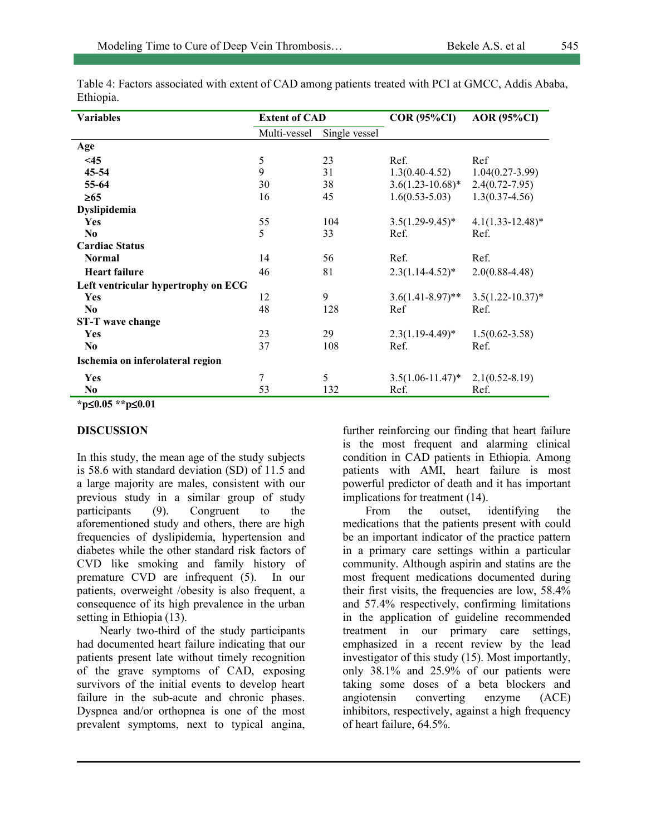| <b>Variables</b>                    | <b>Extent of CAD</b> |               | $COR(95\%CI)$         | <b>AOR</b> (95%CI)    |
|-------------------------------------|----------------------|---------------|-----------------------|-----------------------|
|                                     | Multi-vessel         | Single vessel |                       |                       |
| Age                                 |                      |               |                       |                       |
| $<$ 45                              | 5                    | 23            | Ref.                  | Ref                   |
| 45-54                               | 9                    | 31            | $1.3(0.40 - 4.52)$    | $1.04(0.27-3.99)$     |
| 55-64                               | 30                   | 38            | $3.6(1.23 - 10.68)^*$ | $2.4(0.72 - 7.95)$    |
| $\geq 65$                           | 16                   | 45            | $1.6(0.53 - 5.03)$    | $1.3(0.37 - 4.56)$    |
| Dyslipidemia                        |                      |               |                       |                       |
| Yes                                 | 55                   | 104           | $3.5(1.29-9.45)^*$    | $4.1(1.33-12.48)$ *   |
| $\bf No$                            | 5                    | 33            | Ref.                  | Ref.                  |
| <b>Cardiac Status</b>               |                      |               |                       |                       |
| <b>Normal</b>                       | 14                   | 56            | Ref.                  | Ref.                  |
| <b>Heart failure</b>                | 46                   | 81            | $2.3(1.14 - 4.52)^*$  | $2.0(0.88 - 4.48)$    |
| Left ventricular hypertrophy on ECG |                      |               |                       |                       |
| Yes                                 | 12                   | 9             | $3.6(1.41 - 8.97)$ ** | $3.5(1.22 - 10.37)^*$ |
| N <sub>0</sub>                      | 48                   | 128           | Ref                   | Ref.                  |
| <b>ST-T</b> wave change             |                      |               |                       |                       |
| <b>Yes</b>                          | 23                   | 29            | $2.3(1.19-4.49)^*$    | $1.5(0.62 - 3.58)$    |
| N <sub>0</sub>                      | 37                   | 108           | Ref.                  | Ref.                  |
| Ischemia on inferolateral region    |                      |               |                       |                       |
| <b>Yes</b>                          | 7                    | 5             | $3.5(1.06 - 11.47)^*$ | $2.1(0.52 - 8.19)$    |
| N <sub>0</sub>                      | 53                   | 132           | Ref.                  | Ref.                  |

Table 4: Factors associated with extent of CAD among patients treated with PCI at GMCC, Addis Ababa, Ethiopia.

**\*p**£**0.05 \*\*p**£**0.01** 

#### **DISCUSSION**

In this study, the mean age of the study subjects is 58.6 with standard deviation (SD) of 11.5 and a large majority are males, consistent with our previous study in a similar group of study participants (9). Congruent to the aforementioned study and others, there are high frequencies of dyslipidemia, hypertension and diabetes while the other standard risk factors of CVD like smoking and family history of premature CVD are infrequent (5). In our patients, overweight /obesity is also frequent, a consequence of its high prevalence in the urban setting in Ethiopia (13).

Nearly two-third of the study participants had documented heart failure indicating that our patients present late without timely recognition of the grave symptoms of CAD, exposing survivors of the initial events to develop heart failure in the sub-acute and chronic phases. Dyspnea and/or orthopnea is one of the most prevalent symptoms, next to typical angina, further reinforcing our finding that heart failure is the most frequent and alarming clinical condition in CAD patients in Ethiopia. Among patients with AMI, heart failure is most powerful predictor of death and it has important implications for treatment (14).

From the outset, identifying the medications that the patients present with could be an important indicator of the practice pattern in a primary care settings within a particular community. Although aspirin and statins are the most frequent medications documented during their first visits, the frequencies are low, 58.4% and 57.4% respectively, confirming limitations in the application of guideline recommended treatment in our primary care settings, emphasized in a recent review by the lead investigator of this study (15). Most importantly, only 38.1% and 25.9% of our patients were taking some doses of a beta blockers and angiotensin converting enzyme (ACE) inhibitors, respectively, against a high frequency of heart failure, 64.5%.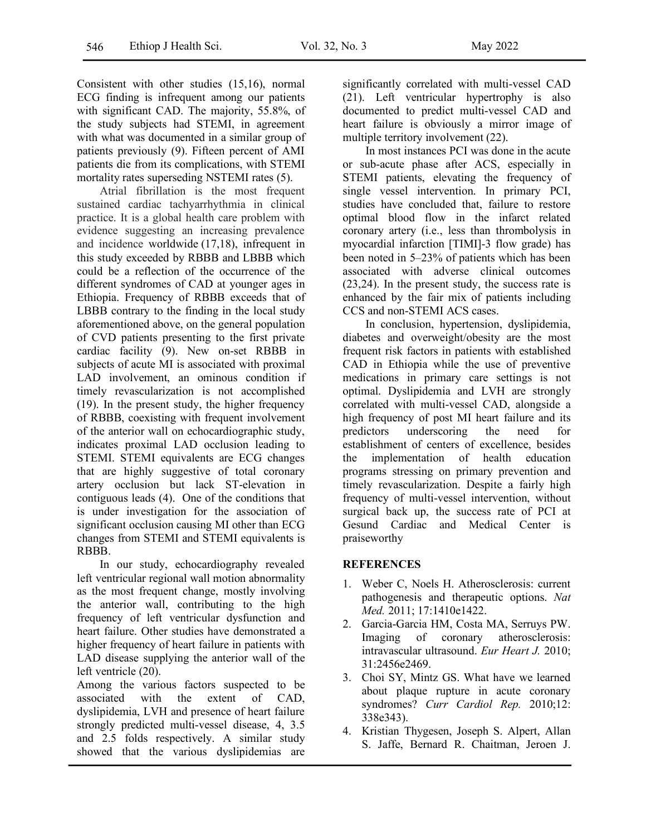Consistent with other studies (15,16), normal ECG finding is infrequent among our patients with significant CAD. The majority, 55.8%, of the study subjects had STEMI, in agreement with what was documented in a similar group of patients previously (9). Fifteen percent of AMI patients die from its complications, with STEMI mortality rates superseding NSTEMI rates (5).

Atrial fibrillation is the most frequent sustained cardiac tachyarrhythmia in clinical practice. It is a global health care problem with evidence suggesting an increasing prevalence and incidence worldwide (17,18), infrequent in this study exceeded by RBBB and LBBB which could be a reflection of the occurrence of the different syndromes of CAD at younger ages in Ethiopia. Frequency of RBBB exceeds that of LBBB contrary to the finding in the local study aforementioned above, on the general population of CVD patients presenting to the first private cardiac facility (9). New on-set RBBB in subjects of acute MI is associated with proximal LAD involvement, an ominous condition if timely revascularization is not accomplished  $(19)$ . In the present study, the higher frequency of RBBB, coexisting with frequent involvement of the anterior wall on echocardiographic study, indicates proximal LAD occlusion leading to STEMI. STEMI equivalents are ECG changes that are highly suggestive of total coronary artery occlusion but lack ST-elevation in contiguous leads (4). One of the conditions that is under investigation for the association of significant occlusion causing MI other than ECG changes from STEMI and STEMI equivalents is RBBB.

In our study, echocardiography revealed left ventricular regional wall motion abnormality as the most frequent change, mostly involving the anterior wall, contributing to the high frequency of left ventricular dysfunction and heart failure. Other studies have demonstrated a higher frequency of heart failure in patients with LAD disease supplying the anterior wall of the left ventricle (20).

Among the various factors suspected to be associated with the extent of CAD, dyslipidemia, LVH and presence of heart failure strongly predicted multi-vessel disease, 4, 3.5 and 2.5 folds respectively. A similar study showed that the various dyslipidemias are significantly correlated with multi-vessel CAD (21). Left ventricular hypertrophy is also documented to predict multi-vessel CAD and heart failure is obviously a mirror image of multiple territory involvement (22).

In most instances PCI was done in the acute or sub-acute phase after ACS, especially in STEMI patients, elevating the frequency of single vessel intervention. In primary PCI, studies have concluded that, failure to restore optimal blood flow in the infarct related coronary artery (i.e., less than thrombolysis in myocardial infarction [TIMI]-3 flow grade) has been noted in 5–23% of patients which has been associated with adverse clinical outcomes (23,24). In the present study, the success rate is enhanced by the fair mix of patients including CCS and non-STEMI ACS cases.

In conclusion, hypertension, dyslipidemia, diabetes and overweight/obesity are the most frequent risk factors in patients with established CAD in Ethiopia while the use of preventive medications in primary care settings is not optimal. Dyslipidemia and LVH are strongly correlated with multi-vessel CAD, alongside a high frequency of post MI heart failure and its predictors underscoring the need for establishment of centers of excellence, besides the implementation of health education programs stressing on primary prevention and timely revascularization. Despite a fairly high frequency of multi-vessel intervention, without surgical back up, the success rate of PCI at Gesund Cardiac and Medical Center is praiseworthy

#### **REFERENCES**

- 1. Weber C, Noels H. Atherosclerosis: current pathogenesis and therapeutic options. *Nat Med.* 2011; 17:1410e1422.
- 2. Garcia-Garcia HM, Costa MA, Serruys PW. Imaging of coronary atherosclerosis: intravascular ultrasound. *Eur Heart J.* 2010; 31:2456e2469.
- 3. Choi SY, Mintz GS. What have we learned about plaque rupture in acute coronary syndromes? *Curr Cardiol Rep.* 2010;12: 338e343).
- 4. Kristian Thygesen, Joseph S. Alpert, Allan S. Jaffe, Bernard R. Chaitman, Jeroen J.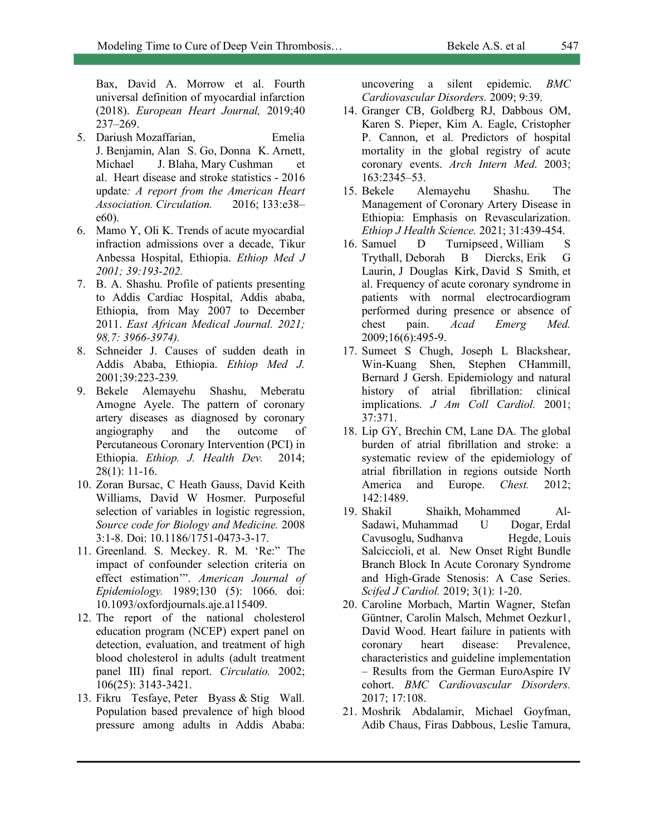Bax, David A. Morrow et al. Fourth universal definition of myocardial infarction (2018). *European Heart Journal,* 2019;40 237–269.

- 5. Dariush Mozaffarian, Emelia J. Benjamin, Alan S. Go, Donna K. Arnett, Michael J. Blaha, Mary Cushman et al. Heart disease and stroke statistics - 2016 update*: A report from the American Heart Association. Circulation.* 2016; 133:e38– e60).
- 6. Mamo Y, Oli K. Trends of acute myocardial infraction admissions over a decade, Tikur Anbessa Hospital, Ethiopia. *Ethiop Med J 2001; 39:193-202.*
- 7. B. A. Shashu. Profile of patients presenting to Addis Cardiac Hospital, Addis ababa, Ethiopia, from May 2007 to December 2011. *East African Medical Journal. 2021; 98,7: 3966-3974).*
- 8. Schneider J. Causes of sudden death in Addis Ababa, Ethiopia. *Ethiop Med J.* 2001;39:223-239*.*
- 9. Bekele Alemayehu Shashu, Meberatu Amogne Ayele. The pattern of coronary artery diseases as diagnosed by coronary angiography and the outcome of Percutaneous Coronary Intervention (PCI) in Ethiopia. *Ethiop. J. Health Dev.* 2014; 28(1): 11-16.
- 10. Zoran Bursac, C Heath Gauss, David Keith Williams, David W Hosmer. Purposeful selection of variables in logistic regression, *Source code for Biology and Medicine.* 2008 3:1-8. Doi: 10.1186/1751-0473-3-17.
- 11. Greenland. S. Meckey. R. M. 'Re:" The impact of confounder selection criteria on effect estimation'". *American Journal of Epidemiology.* 1989;130 (5): 1066. doi: 10.1093/oxfordjournals.aje.a115409.
- 12. The report of the national cholesterol education program (NCEP) expert panel on detection, evaluation, and treatment of high blood cholesterol in adults (adult treatment panel III) final report. *Circulatio.* 2002; 106(25): 3143-3421.
- 13. Fikru Tesfaye, Peter Byass & Stig Wall. Population based prevalence of high blood pressure among adults in Addis Ababa:

uncovering a silent epidemic. *BMC Cardiovascular Disorders.* 2009; 9:39.

- 14. Granger CB, Goldberg RJ, Dabbous OM, Karen S. Pieper, Kim A. Eagle, Cristopher P. Cannon, et al. Predictors of hospital mortality in the global registry of acute coronary events. *Arch Intern Med*. 2003; 163:2345–53.
- 15. Bekele Alemayehu Shashu. The Management of Coronary Artery Disease in Ethiopia: Emphasis on Revascularization. *Ethiop J Health Science.* 2021; 31:439-454.
- 16. Samuel D Turnipseed, William S Trythall, Deborah B Diercks, Erik G Laurin, J Douglas Kirk, David S Smith, et al. Frequency of acute coronary syndrome in patients with normal electrocardiogram performed during presence or absence of chest pain. *Acad Emerg Med.* 2009;16(6):495-9.
- 17. Sumeet S Chugh, Joseph L Blackshear, Win-Kuang Shen, Stephen CHammill, Bernard J Gersh. Epidemiology and natural history of atrial fibrillation: clinical implications. *J Am Coll Cardiol.* 2001; 37:371.
- 18. Lip GY, Brechin CM, Lane DA. The global burden of atrial fibrillation and stroke: a systematic review of the epidemiology of atrial fibrillation in regions outside North America and Europe. *Chest.* 2012; 142:1489.
- 19. Shakil Shaikh, Mohammed Al-Sadawi, Muhammad U Dogar, Erdal Cavusoglu, Sudhanva Hegde, Louis Salciccioli, et al. New Onset Right Bundle Branch Block In Acute Coronary Syndrome and High-Grade Stenosis: A Case Series. *Scifed J Cardiol.* 2019; 3(1): 1-20.
- 20. Caroline Morbach, Martin Wagner, Stefan Güntner, Carolin Malsch, Mehmet Oezkur1, David Wood. Heart failure in patients with coronary heart disease: Prevalence, characteristics and guideline implementation – Results from the German EuroAspire IV cohort. *BMC Cardiovascular Disorders.* 2017; 17:108.
- 21. Moshrik Abdalamir, Michael Goyfman, Adib Chaus, Firas Dabbous, Leslie Tamura,